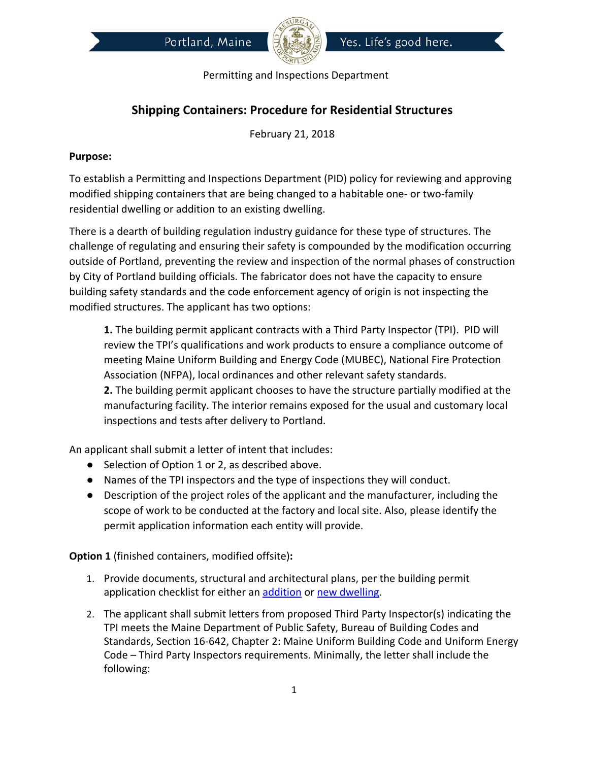



## **Shipping Containers: Procedure for Residential Structures**

February 21, 2018

## **Purpose:**

To establish a Permitting and Inspections Department (PID) policy for reviewing and approving modified shipping containers that are being changed to a habitable one- or two-family residential dwelling or addition to an existing dwelling.

There is a dearth of building regulation industry guidance for these type of structures. The challenge of regulating and ensuring their safety is compounded by the modification occurring outside of Portland, preventing the review and inspection of the normal phases of construction by City of Portland building officials. The fabricator does not have the capacity to ensure building safety standards and the code enforcement agency of origin is not inspecting the modified structures. The applicant has two options:

**1.** The building permit applicant contracts with a Third Party Inspector (TPI). PID will review the TPI's qualifications and work products to ensure a compliance outcome of meeting Maine Uniform Building and Energy Code (MUBEC), National Fire Protection Association (NFPA), local ordinances and other relevant safety standards.

**2.** The building permit applicant chooses to have the structure partially modified at the manufacturing facility. The interior remains exposed for the usual and customary local inspections and tests after delivery to Portland.

An applicant shall submit a letter of intent that includes:

- Selection of Option 1 or 2, as described above.
- Names of the TPI inspectors and the type of inspections they will conduct.
- Description of the project roles of the applicant and the manufacturer, including the scope of work to be conducted at the factory and local site. Also, please identify the permit application information each entity will provide.

**Option 1** (finished containers, modified offsite)**:** 

- 1. Provide documents, structural and architectural plans, per the building permit application checklist for either an [addition](http://www.portlandmaine.gov/DocumentCenter/Home/View/3661) or [new dwelling](http://www.portlandmaine.gov/DocumentCenter/Home/View/2810).
- 2. The applicant shall submit letters from proposed Third Party Inspector(s) indicating the TPI meets the Maine Department of Public Safety, Bureau of Building Codes and Standards, Section 16-642, Chapter 2: Maine Uniform Building Code and Uniform Energy Code – Third Party Inspectors requirements. Minimally, the letter shall include the following: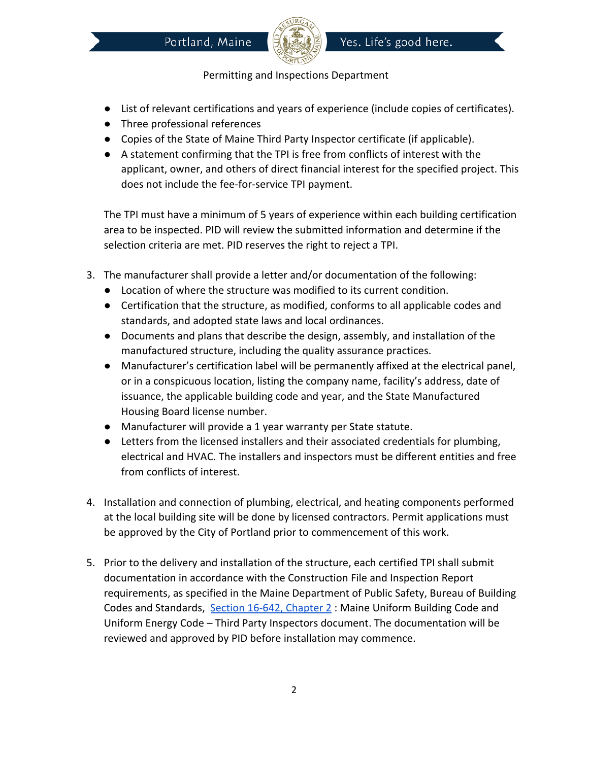

- List of relevant certifications and years of experience (include copies of certificates).
- Three professional references
- Copies of the State of Maine Third Party Inspector certificate (if applicable).
- A statement confirming that the TPI is free from conflicts of interest with the applicant, owner, and others of direct financial interest for the specified project. This does not include the fee-for-service TPI payment.

The TPI must have a minimum of 5 years of experience within each building certification area to be inspected. PID will review the submitted information and determine if the selection criteria are met. PID reserves the right to reject a TPI.

- 3. The manufacturer shall provide a letter and/or documentation of the following:
	- Location of where the structure was modified to its current condition.
	- Certification that the structure, as modified, conforms to all applicable codes and standards, and adopted state laws and local ordinances.
	- Documents and plans that describe the design, assembly, and installation of the manufactured structure, including the quality assurance practices.
	- Manufacturer's certification label will be permanently affixed at the electrical panel, or in a conspicuous location, listing the company name, facility's address, date of issuance, the applicable building code and year, and the State Manufactured Housing Board license number.
	- Manufacturer will provide a 1 year warranty per State statute.
	- Letters from the licensed installers and their associated credentials for plumbing, electrical and HVAC. The installers and inspectors must be different entities and free from conflicts of interest.
- 4. Installation and connection of plumbing, electrical, and heating components performed at the local building site will be done by licensed contractors. Permit applications must be approved by the City of Portland prior to commencement of this work.
- 5. Prior to the delivery and installation of the structure, each certified TPI shall submit documentation in accordance with the Construction File and Inspection Report requirements, as specified in the Maine Department of Public Safety, Bureau of Building Codes and Standards, [Section 16-642, Chapter 2](http://www.maine.gov/dps/bbcs/) : Maine Uniform Building Code and Uniform Energy Code – Third Party Inspectors document. The documentation will be reviewed and approved by PID before installation may commence.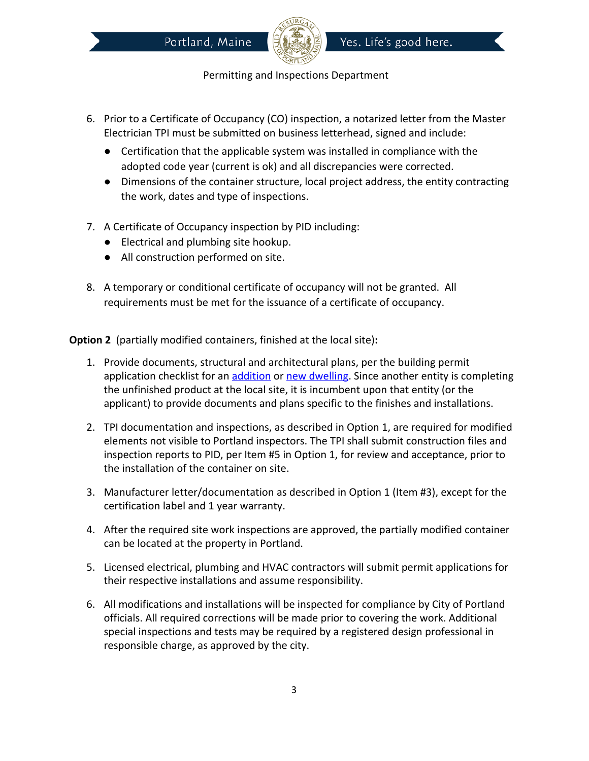



- 6. Prior to a Certificate of Occupancy (CO) inspection, a notarized letter from the Master Electrician TPI must be submitted on business letterhead, signed and include:
	- Certification that the applicable system was installed in compliance with the adopted code year (current is ok) and all discrepancies were corrected.
	- Dimensions of the container structure, local project address, the entity contracting the work, dates and type of inspections.
- 7. A Certificate of Occupancy inspection by PID including:
	- Electrical and plumbing site hookup.
	- All construction performed on site.
- 8. A temporary or conditional certificate of occupancy will not be granted. All requirements must be met for the issuance of a certificate of occupancy.

**Option 2**  (partially modified containers, finished at the local site)**:** 

- 1. Provide documents, structural and architectural plans, per the building permit application checklist for an [addition](http://www.portlandmaine.gov/DocumentCenter/Home/View/3661) or [new dwelling](http://www.portlandmaine.gov/DocumentCenter/Home/View/2810). Since another entity is completing the unfinished product at the local site, it is incumbent upon that entity (or the applicant) to provide documents and plans specific to the finishes and installations.
- 2. TPI documentation and inspections, as described in Option 1, are required for modified elements not visible to Portland inspectors. The TPI shall submit construction files and inspection reports to PID, per Item #5 in Option 1, for review and acceptance, prior to the installation of the container on site.
- 3. Manufacturer letter/documentation as described in Option 1 (Item #3), except for the certification label and 1 year warranty.
- 4. After the required site work inspections are approved, the partially modified container can be located at the property in Portland.
- 5. Licensed electrical, plumbing and HVAC contractors will submit permit applications for their respective installations and assume responsibility.
- 6. All modifications and installations will be inspected for compliance by City of Portland officials. All required corrections will be made prior to covering the work. Additional special inspections and tests may be required by a registered design professional in responsible charge, as approved by the city.